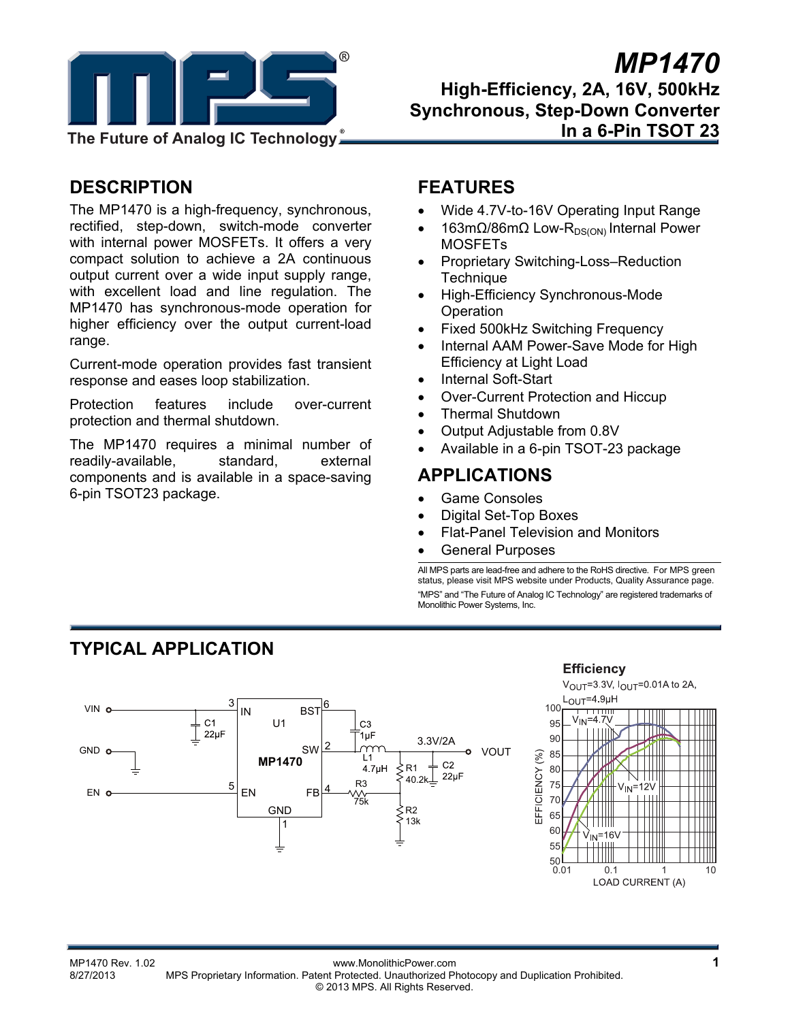

## *MP1470* **High-Efficiency, 2A, 16V, 500kHz Synchronous, Step-Down Converter In a 6-Pin TSOT 23**

## **DESCRIPTION**

The MP1470 is a high-frequency, synchronous, rectified, step-down, switch-mode converter with internal power MOSFETs. It offers a very compact solution to achieve a 2A continuous output current over a wide input supply range, with excellent load and line regulation. The MP1470 has synchronous-mode operation for higher efficiency over the output current-load range.

Current-mode operation provides fast transient response and eases loop stabilization.

Protection features include over-current protection and thermal shutdown.

The MP1470 requires a minimal number of readily-available, standard, external components and is available in a space-saving 6-pin TSOT23 package.

## **FEATURES**

- Wide 4.7V-to-16V Operating Input Range
- 163mΩ/86mΩ Low-R<sub>DS(ON)</sub> Internal Power MOSFETs
- Proprietary Switching-Loss–Reduction **Technique**
- High-Efficiency Synchronous-Mode **Operation**
- Fixed 500kHz Switching Frequency
- Internal AAM Power-Save Mode for High Efficiency at Light Load
- Internal Soft-Start
- Over-Current Protection and Hiccup
- Thermal Shutdown
- Output Adjustable from 0.8V
- Available in a 6-pin TSOT-23 package

## **APPLICATIONS**

- Game Consoles
- Digital Set-Top Boxes
- Flat-Panel Television and Monitors
- General Purposes

All MPS parts are lead-free and adhere to the RoHS directive. For MPS green status, please visit MPS website under Products, Quality Assurance page. "MPS" and "The Future of Analog IC Technology" are registered trademarks of Monolithic Power Systems, Inc.

## **TYPICAL APPLICATION**



#### **Efficiency**



MP1470 Rev. 1.02 www.MonolithicPower.com **1** MPS Proprietary Information. Patent Protected. Unauthorized Photocopy and Duplication Prohibited. © 2013 MPS. All Rights Reserved.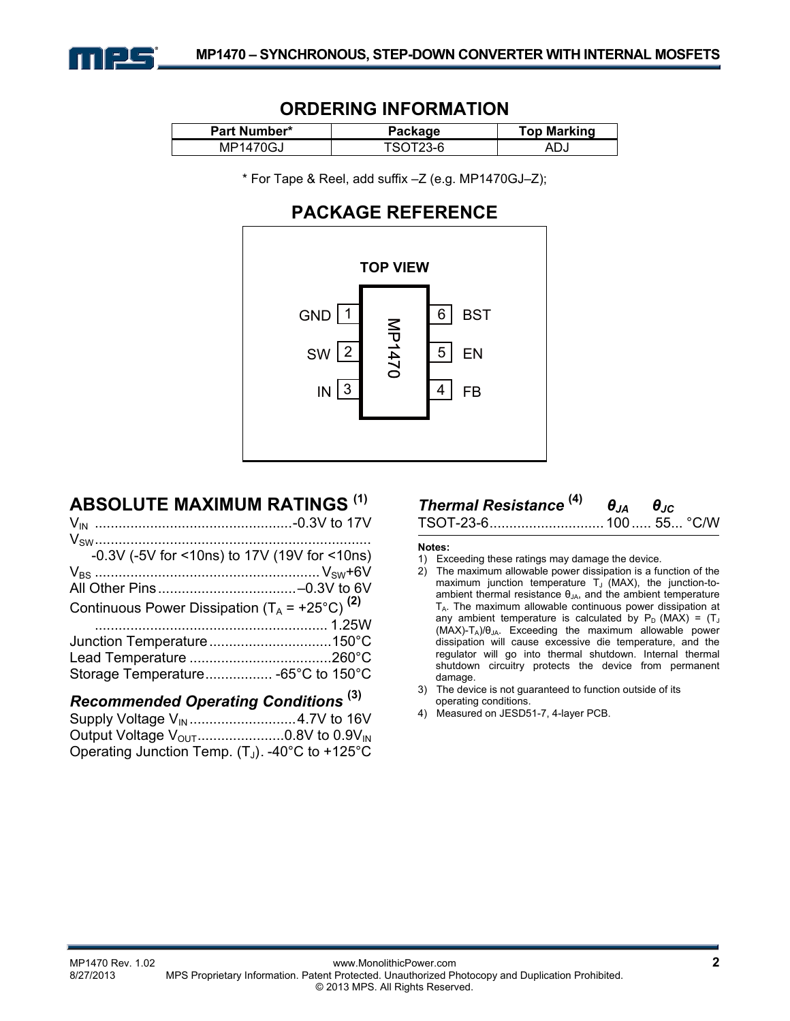

## **ORDERING INFORMATION**

| Part Number*  | Package | <b>Top Marking</b> |
|---------------|---------|--------------------|
| IGJ<br>MP1470 | $3-F$   | ∿∪                 |

\* For Tape & Reel, add suffix –Z (e.g. MP1470GJ–Z);

## **PACKAGE REFERENCE**



## **ABSOLUTE MAXIMUM RATINGS (1)**

| $-0.3V$ (-5V for <10ns) to 17V (19V for <10ns)            |  |
|-----------------------------------------------------------|--|
|                                                           |  |
|                                                           |  |
| Continuous Power Dissipation $(T_A = +25^{\circ}C)^{(2)}$ |  |
|                                                           |  |
|                                                           |  |
|                                                           |  |
| Storage Temperature -65°C to 150°C                        |  |

## *Recommended Operating Conditions* **(3)**

| Output Voltage $V_{\text{OUT}}$ 0.8V to 0.9V <sub>IN</sub> |  |
|------------------------------------------------------------|--|
| Operating Junction Temp. $(T_J)$ . -40°C to +125°C         |  |

# *Thermal Resistance* **(4)** *θJA θJC*

TSOT-23-6............................. 100..... 55... °C/W

#### **Notes:**

- 1) Exceeding these ratings may damage the device.
- 2) The maximum allowable power dissipation is a function of the maximum junction temperature  $T_J$  (MAX), the junction-toambient thermal resistance  $\theta_{JA}$ , and the ambient temperature  $T_A$ . The maximum allowable continuous power dissipation at any ambient temperature is calculated by  $P_D$  (MAX) = (T<sub>J</sub>  $(MAX)-T_A)/\theta_{JA}$ . Exceeding the maximum allowable power dissipation will cause excessive die temperature, and the regulator will go into thermal shutdown. Internal thermal shutdown circuitry protects the device from permanent damage.
- 3) The device is not guaranteed to function outside of its operating conditions.
- 4) Measured on JESD51-7, 4-layer PCB.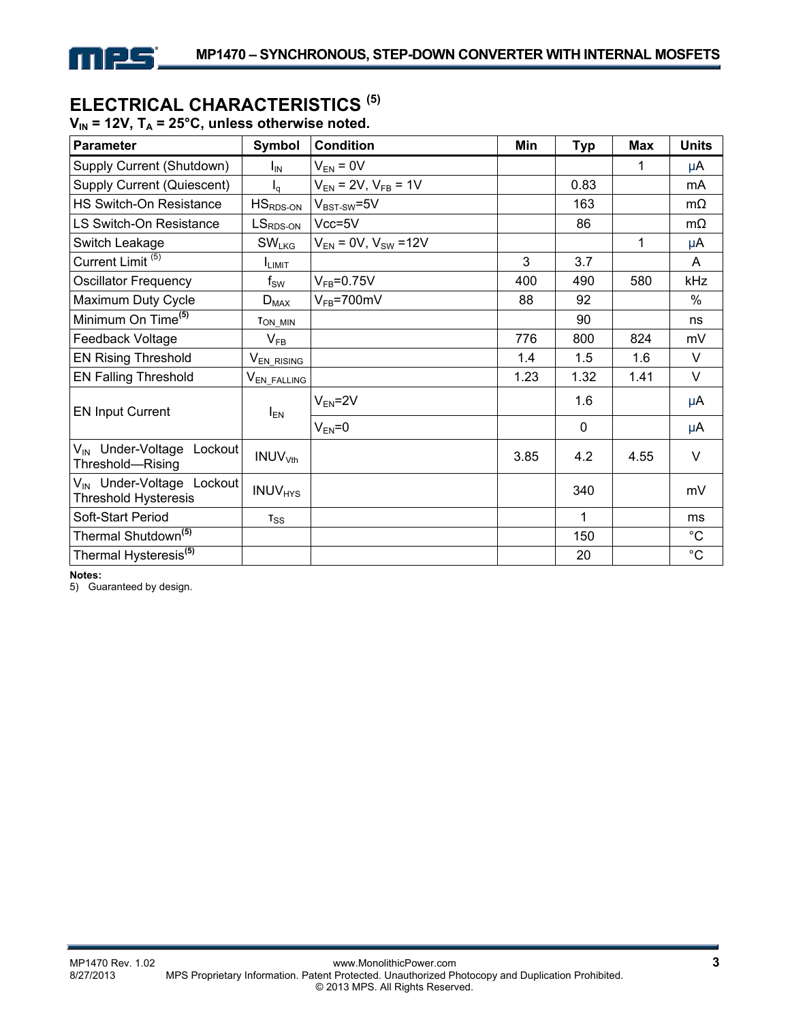

## **ELECTRICAL CHARACTERISTICS (5)**

 $V_{IN}$  = 12V,  $T_A$  = 25°C, unless otherwise noted.

| Parameter                                                            | Symbol                     | <b>Condition</b>              | Min  | <b>Typ</b>  | <b>Max</b> | <b>Units</b> |
|----------------------------------------------------------------------|----------------------------|-------------------------------|------|-------------|------------|--------------|
| Supply Current (Shutdown)                                            | Ι <sub>IN</sub>            | $V_{EN} = 0V$                 |      |             | 1          | μA           |
| Supply Current (Quiescent)                                           | $I_{\alpha}$               | $V_{EN}$ = 2V, $V_{FB}$ = 1V  |      | 0.83        |            | mA           |
| HS Switch-On Resistance                                              | $HSRDS-ON$                 | $V_{BST-SW}$ =5V              |      | 163         |            | $m\Omega$    |
| LS Switch-On Resistance                                              | $LSRDS-ON$                 | $Vcc = 5V$                    |      | 86          |            | mΩ           |
| Switch Leakage                                                       | SW <sub>LKG</sub>          | $V_{EN}$ = 0V, $V_{SW}$ = 12V |      |             | 1          | μA           |
| Current Limit <sup>(5)</sup>                                         | <b>I</b> LIMIT             |                               | 3    | 3.7         |            | A            |
| <b>Oscillator Frequency</b>                                          | $\mathsf{f}_\mathsf{SW}$   | $V_{FB} = 0.75V$              | 400  | 490         | 580        | kHz          |
| Maximum Duty Cycle                                                   | $D_{MAX}$                  | $V_{FB}$ =700mV               | 88   | 92          |            | $\%$         |
| Minimum On Time <sup>(5)</sup>                                       | T <sub>ON_MIN</sub>        |                               |      | 90          |            | ns           |
| Feedback Voltage                                                     | $\mathsf{V}_{\mathsf{FB}}$ |                               | 776  | 800         | 824        | mV           |
| <b>EN Rising Threshold</b>                                           | V <sub>EN_RISING</sub>     |                               | 1.4  | 1.5         | 1.6        | V            |
| <b>EN Falling Threshold</b>                                          | V <sub>EN_FALLING</sub>    |                               | 1.23 | 1.32        | 1.41       | $\vee$       |
| <b>EN Input Current</b>                                              | $I_{EN}$                   | $V_{EN} = 2V$                 |      | 1.6         |            | μA           |
|                                                                      |                            | $V_{EN} = 0$                  |      | $\mathbf 0$ |            | μA           |
| V <sub>IN</sub> Under-Voltage Lockout<br>Threshold—Rising            | INUV <sub>Vth</sub>        |                               | 3.85 | 4.2         | 4.55       | $\vee$       |
| V <sub>IN</sub> Under-Voltage Lockout<br><b>Threshold Hysteresis</b> | <b>INUV<sub>HYS</sub></b>  |                               |      | 340         |            | mV           |
| Soft-Start Period                                                    | $T_{SS}$                   |                               |      | 1           |            | ms           |
| Thermal Shutdown <sup>(5)</sup>                                      |                            |                               |      | 150         |            | $^{\circ}C$  |
| Thermal Hysteresis <sup>(5)</sup>                                    |                            |                               |      | 20          |            | $^{\circ}C$  |

**Notes:** 

5) Guaranteed by design.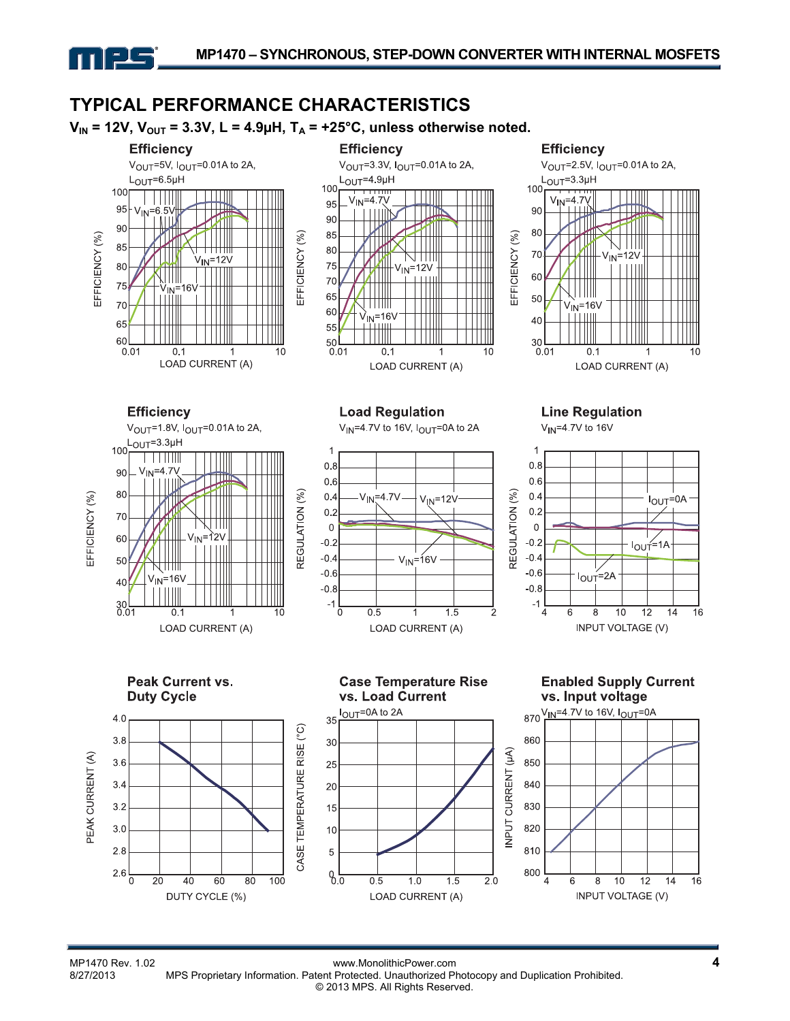#### **TYPICAL PERFORMANCE CHARACTERISTICS**   $V_{IN}$  = 12V,  $V_{OUT}$  = 3.3V, L = 4.9µH,  $T_A$  = +25°C, unless otherwise noted. **Efficiency Efficiency Efficiency** V<sub>OUT</sub>=5V, I<sub>OUT</sub>=0 01A to 2A, V<sub>OUT</sub>=3.3V, I<sub>OUT</sub>=0.01A to 2A, V<sub>OUT</sub>=2.5V, I<sub>OUT</sub>=0.01A to 2A,  $L_{\text{OUT}} = 6.5 \mu H$  $L_{\text{OUT}}=4.9\mu H$  $L_{\text{OUT}} = 3.3 \mu H$ 100  $100$ 100 <del>. . . . . . . . .</del>  $\overline{\phantom{a}}$ **TITLE**  $V_{IN} = 4.7V$  $V_{IN} = 4.7$ 95 95  $6.5\%$ 90 TITIIN √ini 90 90 80 85 EFFICIENCY (%) EFFICIENCY (% EFFICIENCY (%) ШI 85 80 70  $V_{\text{IN}} = 12V$  $V_{IN}$ =12V 75  $80$  $V_{IN}$ =12V  $\perp \parallel \parallel$ 60 Ш 70 75 161 IN. ШШ 65 50 ╥┉ 70 V<sub>IN</sub>=16V 60  $N = 16V$ ïш 40 65 55  $60$  $30<sup>1</sup>$ 50  $0.01$  $0.01$  $0<sub>1</sub>$  $10$  $0.01$  $0<sub>1</sub>$  $10$  $0.1$  $10$ -1 LOAD CURRENT (A) LOAD CURRENT (A) LOAD CURRENT (A) **Efficiency Load Regulation Line Regulation**  $V_{\text{OUT}}$ =1.8V,  $I_{\text{OUT}}$ =0.01A to 2A, V<sub>IN</sub>=4.7V to 16V  $V_{IN}$ =4.7V to 16V,  $I_{OUT}$ =0A to 2A L<sub>OUT</sub>=3.3µH 100 11 <u>T TITINI</u>  $0.8$  $0.8$  $V_{IN} = 4.7V$ 90  $0.6$  $0.6$ 80 **REGULATION (%)** REGULATION (%)  $0.4$  $V_{IN} = 4.7V$  $0.4$ EFFICIENCY (%) I<sub>OUT</sub>=0A  $V_{IN} = 12V$  $0.2$  $0.2$ 70  $\sqrt{111}$ 0  $\mathbf 0$ .∨<sub>IN</sub>=1`2V 60  $-0.2$  $-0.2$  $I_{OUT} = 1A$  $-0.4$  $V_{IN} = 16V$  $-0.4$ 50 **, , , , , , , , , ,**  $-0.6$  $-0.6$  $I_{OUT} = 2A$  $V_{IN} = 16V$  $40$  $-0.8$  $-0.8$  $-1$  $30L$ <br> $0.01$  $-1$  $\overline{0}$  $0.5$  $\overline{4}$  $10$  $12$  $14$ 16  $0.1$ 10 1.5 6 8 **INPUT VOLTAGE (V)** LOAD CURRENT (A) LOAD CURRENT (A) **Peak Current vs. Case Temperature Rise Enabled Supply Current Duty Cycle** vs. Load Current vs. Input voltage  $870 \frac{\text{V}}{\text{IN}} = 4.7 \text{V}$  to 16V,  $I_{\text{OUT}} = 0 \text{A}$ l<sub>OUT</sub>=0A to 2A  $4.0$ 35 CASE TEMPERATURE RISE (°C) 860 3.8 30 INPUT CURRENT (µA) PEAK CURRENT (A) 3.6 850 25 840  $3.4$ 20  $3.2$ 830 15 820  $3.0$  $10$  $2.8$ 5 810 800 2.6  $60 \Omega$ 20 40 60 80 100  $0.5$  $1.0$ 1.5  $2.0$  $\Lambda$ 8  $10$  $12$  $14$ 16 6 **INPUT VOLTAGE (V)** DUTY CYCLE (%) LOAD CURRENT (A)

كالع

MP1470 Rev. 1.02 **4**<br>8/27/2013 MPS Proprietary Information. Patent Protected. Unauthorized Photocopy and Duplication Prohibited. MPS Proprietary Information. Patent Protected. Unauthorized Photocopy and Duplication Prohibited. © 2013 MPS. All Rights Reserved.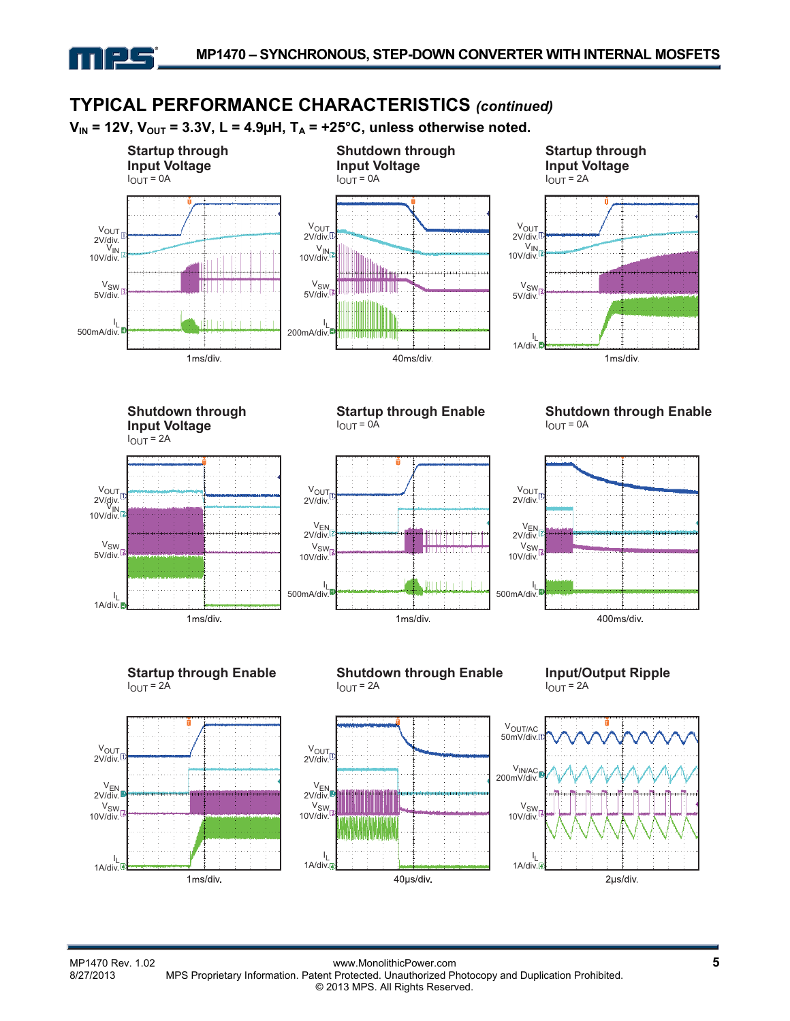

## **TYPICAL PERFORMANCE CHARACTERISTICS** *(continued)*

 $V_{IN}$  = 12V,  $V_{OUT}$  = 3.3V, L = 4.9µH,  $T_A$  = +25°C, unless otherwise noted.



 $V_{OUT}$ 2V/div.

V<sub>SW</sub> 10V/div.

> I  $1$ A/div.

VEN 2V/div.



**Shutdown through Input Voltage**  $I_{\text{OUT}} = 2A$ 



**Startup through Enable**  $I_{OUT} = 0$ Å



**Shutdown through Enable**  $I_{OUT} = 0A$ 



**Startup through Enable**  $I_{\text{OUT}} = 2\text{\AA}$ 



**Shutdown through Enable**  $I_{OUT} = 2A$ 



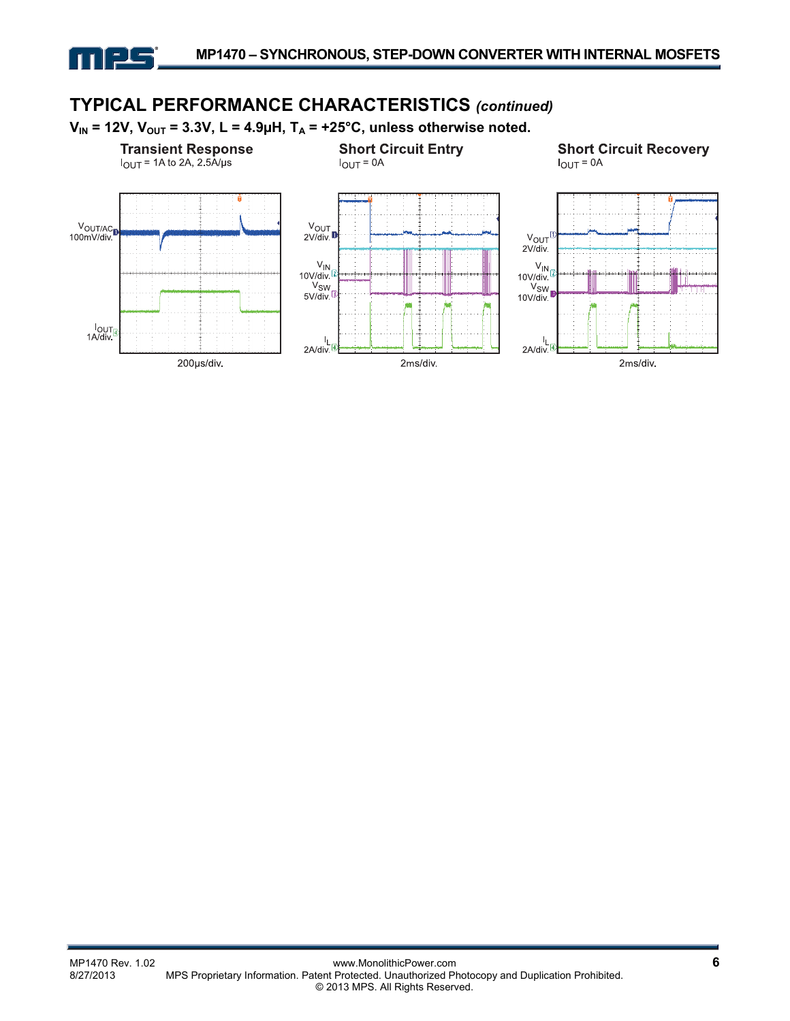

#### **TYPICAL PERFORMANCE CHARACTERISTICS** *(continued)*  $V_{IN}$  = 12V,  $V_{OUT}$  = 3.3V, L = 4.9µH,  $T_A$  = +25°C, unless otherwise noted. **Short Circuit Recovery Transient Response Short Circuit Entry**  $I_{OUT}$  = 1A to 2A, 2 5A/µs  $I_{OUT} = 0A$  $I_{OUT} = 0A$  $\frac{V_{\text{OUT}}}{2V/div}$ VOUT/AC<sub>D</sub> 100mV/div  $V_{OUT}$  $2V$ /div.  $\frac{V_{IN}}{10 V/div}$  $V_{IN}$  $10V/div$ V<sub>SW</sub><br>V<sub>SW</sub><br>10V/div  $V_{SW}$ 5V/div lout<sub>[1</sub><br>1A/div  $\mathbf{l}_1$ J, 2A/div 2A/div 2ms/div. 200µs/div. 2ms/div.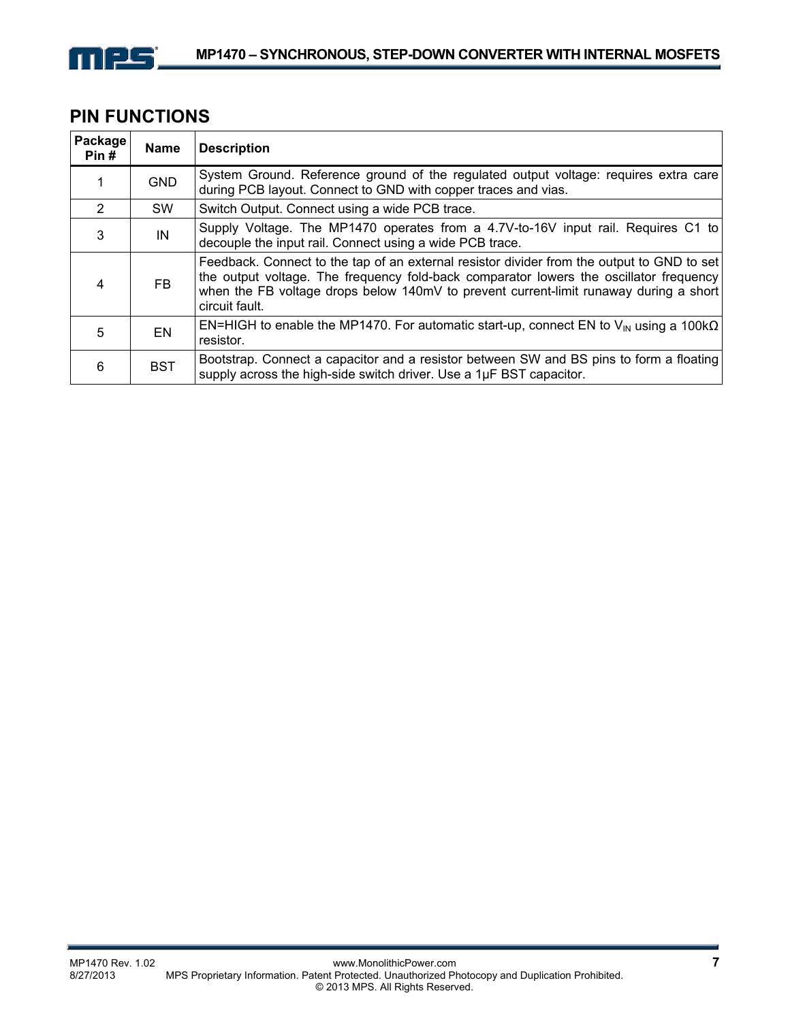

## **PIN FUNCTIONS**

| Package<br>Pin# | <b>Name</b> | <b>Description</b>                                                                                                                                                                                                                                                                              |
|-----------------|-------------|-------------------------------------------------------------------------------------------------------------------------------------------------------------------------------------------------------------------------------------------------------------------------------------------------|
|                 | <b>GND</b>  | System Ground. Reference ground of the regulated output voltage: requires extra care<br>during PCB layout. Connect to GND with copper traces and vias.                                                                                                                                          |
| $\mathcal{P}$   | <b>SW</b>   | Switch Output. Connect using a wide PCB trace.                                                                                                                                                                                                                                                  |
| 3               | IN          | Supply Voltage. The MP1470 operates from a 4.7V-to-16V input rail. Requires C1 to<br>decouple the input rail. Connect using a wide PCB trace.                                                                                                                                                   |
| 4               | <b>FB</b>   | Feedback. Connect to the tap of an external resistor divider from the output to GND to set<br>the output voltage. The frequency fold-back comparator lowers the oscillator frequency<br>when the FB voltage drops below 140mV to prevent current-limit runaway during a short<br>circuit fault. |
| 5               | EN          | EN=HIGH to enable the MP1470. For automatic start-up, connect EN to $V_{\text{IN}}$ using a 100k $\Omega$<br>resistor.                                                                                                                                                                          |
| 6               | <b>BST</b>  | Bootstrap. Connect a capacitor and a resistor between SW and BS pins to form a floating<br>supply across the high-side switch driver. Use a 1µF BST capacitor.                                                                                                                                  |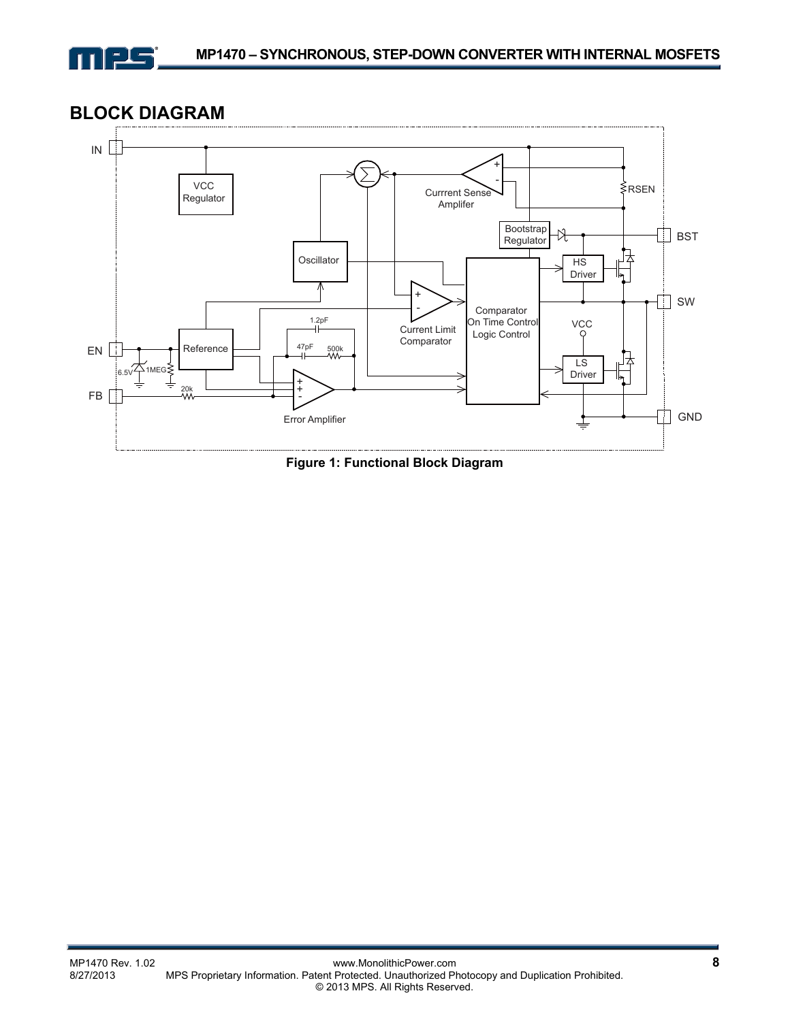

**BLOCK DIAGRAM**



**Figure 1: Functional Block Diagram**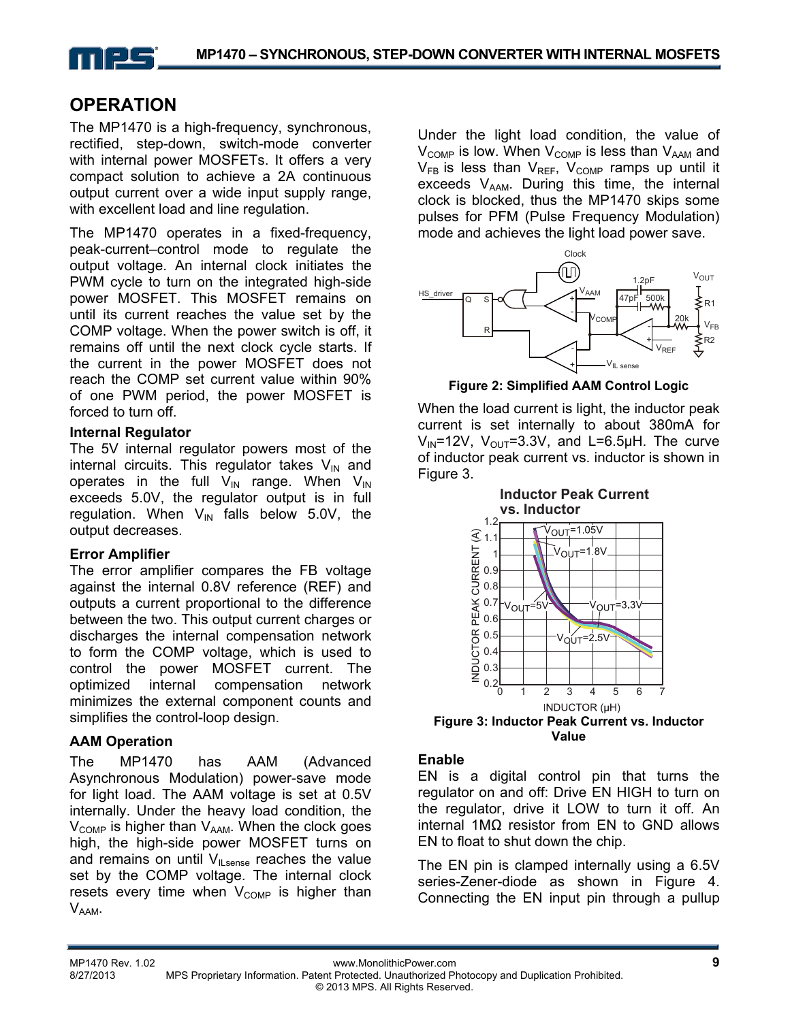

## **OPERATION**

The MP1470 is a high-frequency, synchronous, rectified, step-down, switch-mode converter with internal power MOSFETs. It offers a very compact solution to achieve a 2A continuous output current over a wide input supply range, with excellent load and line regulation.

The MP1470 operates in a fixed-frequency, peak-current–control mode to regulate the output voltage. An internal clock initiates the PWM cycle to turn on the integrated high-side power MOSFET. This MOSFET remains on until its current reaches the value set by the COMP voltage. When the power switch is off, it remains off until the next clock cycle starts. If the current in the power MOSFET does not reach the COMP set current value within 90% of one PWM period, the power MOSFET is forced to turn off.

#### **Internal Regulator**

The 5V internal regulator powers most of the internal circuits. This regulator takes  $V_{IN}$  and operates in the full  $V_{IN}$  range. When  $V_{IN}$ exceeds 5.0V, the regulator output is in full regulation. When  $V_{IN}$  falls below 5.0V, the output decreases.

#### **Error Amplifier**

The error amplifier compares the FB voltage against the internal 0.8V reference (REF) and outputs a current proportional to the difference between the two. This output current charges or discharges the internal compensation network to form the COMP voltage, which is used to control the power MOSFET current. The optimized internal compensation network minimizes the external component counts and simplifies the control-loop design.

### **AAM Operation**

The MP1470 has AAM (Advanced Asynchronous Modulation) power-save mode for light load. The AAM voltage is set at 0.5V internally. Under the heavy load condition, the  $V_{\text{COMP}}$  is higher than  $V_{\text{AAM}}$ . When the clock goes high, the high-side power MOSFET turns on and remains on until  $V_{\parallel\text{ sense}}$  reaches the value set by the COMP voltage. The internal clock resets every time when  $V_{\text{COMP}}$  is higher than V<sub>AAM</sub>.

Under the light load condition, the value of  $V_{\text{COMP}}$  is low. When  $V_{\text{COMP}}$  is less than  $V_{\text{AAM}}$  and  $V_{FB}$  is less than  $V_{REF}$ ,  $V_{COMP}$  ramps up until it exceeds  $V_{AAM}$ . During this time, the internal clock is blocked, thus the MP1470 skips some pulses for PFM (Pulse Frequency Modulation) mode and achieves the light load power save.



**Figure 2: Simplified AAM Control Logic** 

When the load current is light, the inductor peak current is set internally to about 380mA for  $V_{\text{IN}}$ =12V,  $V_{\text{OUT}}$ =3.3V, and L=6.5µH. The curve of inductor peak current vs. inductor is shown in Figure 3.



**Figure 3: Inductor Peak Current vs. Inductor Value** 

#### **Enable**

EN is a digital control pin that turns the regulator on and off: Drive EN HIGH to turn on the regulator, drive it LOW to turn it off. An internal 1MΩ resistor from EN to GND allows EN to float to shut down the chip.

The EN pin is clamped internally using a 6.5V series-Zener-diode as shown in Figure 4. Connecting the EN input pin through a pullup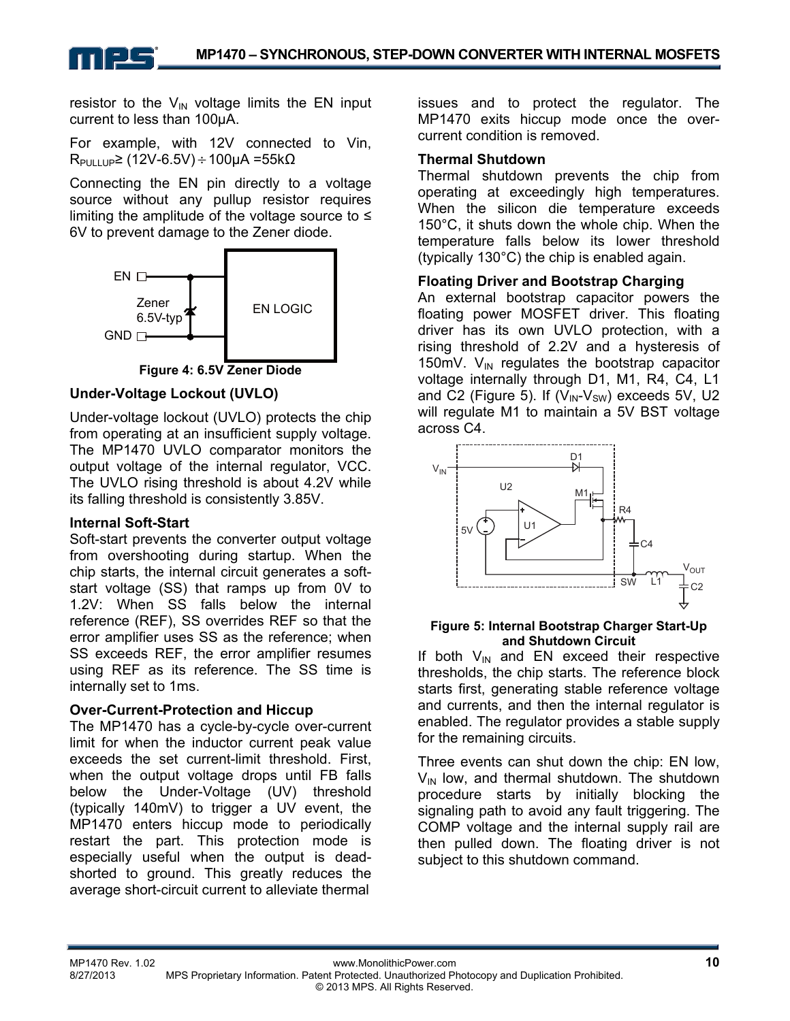resistor to the  $V_{\text{IN}}$  voltage limits the EN input current to less than 100μA.

For example, with 12V connected to Vin,  $R_{PUL1UP}$ ≥ (12V-6.5V) ÷ 100μA =55kΩ

Connecting the EN pin directly to a voltage source without any pullup resistor requires limiting the amplitude of the voltage source to  $\leq$ 6V to prevent damage to the Zener diode.





#### **Under-Voltage Lockout (UVLO)**

Under-voltage lockout (UVLO) protects the chip from operating at an insufficient supply voltage. The MP1470 UVLO comparator monitors the output voltage of the internal regulator, VCC. The UVLO rising threshold is about 4.2V while its falling threshold is consistently 3.85V.

#### **Internal Soft-Start**

Soft-start prevents the converter output voltage from overshooting during startup. When the chip starts, the internal circuit generates a softstart voltage (SS) that ramps up from 0V to 1.2V: When SS falls below the internal reference (REF), SS overrides REF so that the error amplifier uses SS as the reference; when SS exceeds REF, the error amplifier resumes using REF as its reference. The SS time is internally set to 1ms.

#### **Over-Current-Protection and Hiccup**

The MP1470 has a cycle-by-cycle over-current limit for when the inductor current peak value exceeds the set current-limit threshold. First, when the output voltage drops until FB falls below the Under-Voltage (UV) threshold (typically 140mV) to trigger a UV event, the MP1470 enters hiccup mode to periodically restart the part. This protection mode is especially useful when the output is deadshorted to ground. This greatly reduces the average short-circuit current to alleviate thermal

issues and to protect the regulator. The MP1470 exits hiccup mode once the overcurrent condition is removed.

#### **Thermal Shutdown**

Thermal shutdown prevents the chip from operating at exceedingly high temperatures. When the silicon die temperature exceeds 150°C, it shuts down the whole chip. When the temperature falls below its lower threshold (typically 130°C) the chip is enabled again.

#### **Floating Driver and Bootstrap Charging**

An external bootstrap capacitor powers the floating power MOSFET driver. This floating driver has its own UVLO protection, with a rising threshold of 2.2V and a hysteresis of 150mV.  $V_{IN}$  regulates the bootstrap capacitor voltage internally through D1, M1, R4, C4, L1 and C2 (Figure 5). If  $(V_{IN} - V_{SW})$  exceeds 5V, U2 will regulate M1 to maintain a 5V BST voltage across C4.



#### **Figure 5: Internal Bootstrap Charger Start-Up and Shutdown Circuit**

If both  $V_{\text{IN}}$  and EN exceed their respective thresholds, the chip starts. The reference block starts first, generating stable reference voltage and currents, and then the internal regulator is enabled. The regulator provides a stable supply for the remaining circuits.

Three events can shut down the chip: EN low,  $V_{\text{IN}}$  low, and thermal shutdown. The shutdown procedure starts by initially blocking the signaling path to avoid any fault triggering. The COMP voltage and the internal supply rail are then pulled down. The floating driver is not subject to this shutdown command.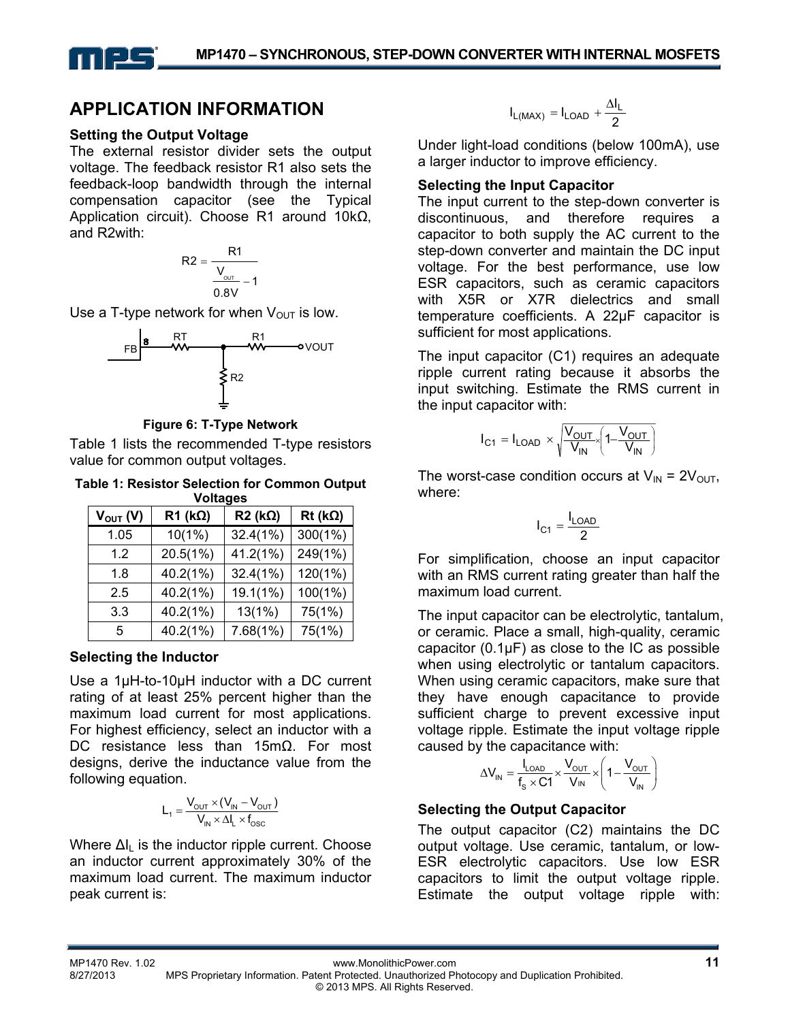## **APPLICATION INFORMATION**

#### **Setting the Output Voltage**

The external resistor divider sets the output voltage. The feedback resistor R1 also sets the feedback-loop bandwidth through the internal compensation capacitor (see the Typical Application circuit). Choose R1 around 10kΩ, and R2with:

$$
R2 = \frac{R1}{\frac{V_{\text{out}}}{0.8V} - 1}
$$

Use a T-type network for when  $V_{\text{OUT}}$  is low.



**Figure 6: T-Type Network** 

Table 1 lists the recommended T-type resistors value for common output voltages.

**Table 1: Resistor Selection for Common Output Voltages** 

| v vilayes     |           |                    |                    |  |
|---------------|-----------|--------------------|--------------------|--|
| $V_{OUT} (V)$ | $R1$ (kΩ) | $R2$ (k $\Omega$ ) | $Rt$ (k $\Omega$ ) |  |
| 1.05          | $10(1\%)$ | 32.4(1%)           | $300(1\%)$         |  |
| 1.2           | 20.5(1%)  | 41.2(1%)           | 249(1%)            |  |
| 1.8           | 40.2(1%)  | 32.4(1%)           | 120(1%)            |  |
| 2.5           | 40.2(1%)  | 19.1(1%)           | 100(1%)            |  |
| 3.3           | 40.2(1%)  | 13(1%)             | 75(1%)             |  |
| 5             | 40.2(1%)  | 7.68(1%)           | 75(1%)             |  |

#### **Selecting the Inductor**

Use a 1µH-to-10µH inductor with a DC current rating of at least 25% percent higher than the maximum load current for most applications. For highest efficiency, select an inductor with a DC resistance less than 15mΩ. For most designs, derive the inductance value from the following equation.

$$
L_1 = \frac{V_{\text{OUT}} \times (V_{\text{IN}} - V_{\text{OUT}})}{V_{\text{IN}} \times \Delta I_L \times f_{\text{OSC}}}
$$

Where  $\Delta I_1$  is the inductor ripple current. Choose an inductor current approximately 30% of the maximum load current. The maximum inductor peak current is:

$$
I_{L(MAX)}=I_{LOAD}+\frac{\Delta I_L}{2}
$$

Under light-load conditions (below 100mA), use a larger inductor to improve efficiency.

#### **Selecting the Input Capacitor**

The input current to the step-down converter is discontinuous, and therefore requires a capacitor to both supply the AC current to the step-down converter and maintain the DC input voltage. For the best performance, use low ESR capacitors, such as ceramic capacitors with X5R or X7R dielectrics and small temperature coefficients. A 22µF capacitor is sufficient for most applications.

The input capacitor (C1) requires an adequate ripple current rating because it absorbs the input switching. Estimate the RMS current in the input capacitor with:

$$
I_{C1} = I_{LOAD} \times \sqrt{\frac{V_{OUT}}{V_{IN}}} \left(1 - \frac{V_{OUT}}{V_{IN}}\right)
$$

The worst-case condition occurs at  $V_{IN} = 2V_{OUT}$ , where:

$$
I_{C1} = \frac{I_{LOAD}}{2}
$$

For simplification, choose an input capacitor with an RMS current rating greater than half the maximum load current.

The input capacitor can be electrolytic, tantalum, or ceramic. Place a small, high-quality, ceramic capacitor  $(0.1\mu F)$  as close to the IC as possible when using electrolytic or tantalum capacitors. When using ceramic capacitors, make sure that they have enough capacitance to provide sufficient charge to prevent excessive input voltage ripple. Estimate the input voltage ripple caused by the capacitance with:

$$
\Delta V_{IN} = \frac{I_{LOAD}}{f_s \times C1} \times \frac{V_{OUT}}{V_{IN}} \times \left(1 - \frac{V_{OUT}}{V_{IN}}\right)
$$

### **Selecting the Output Capacitor**

The output capacitor (C2) maintains the DC output voltage. Use ceramic, tantalum, or low-ESR electrolytic capacitors. Use low ESR capacitors to limit the output voltage ripple. Estimate the output voltage ripple with: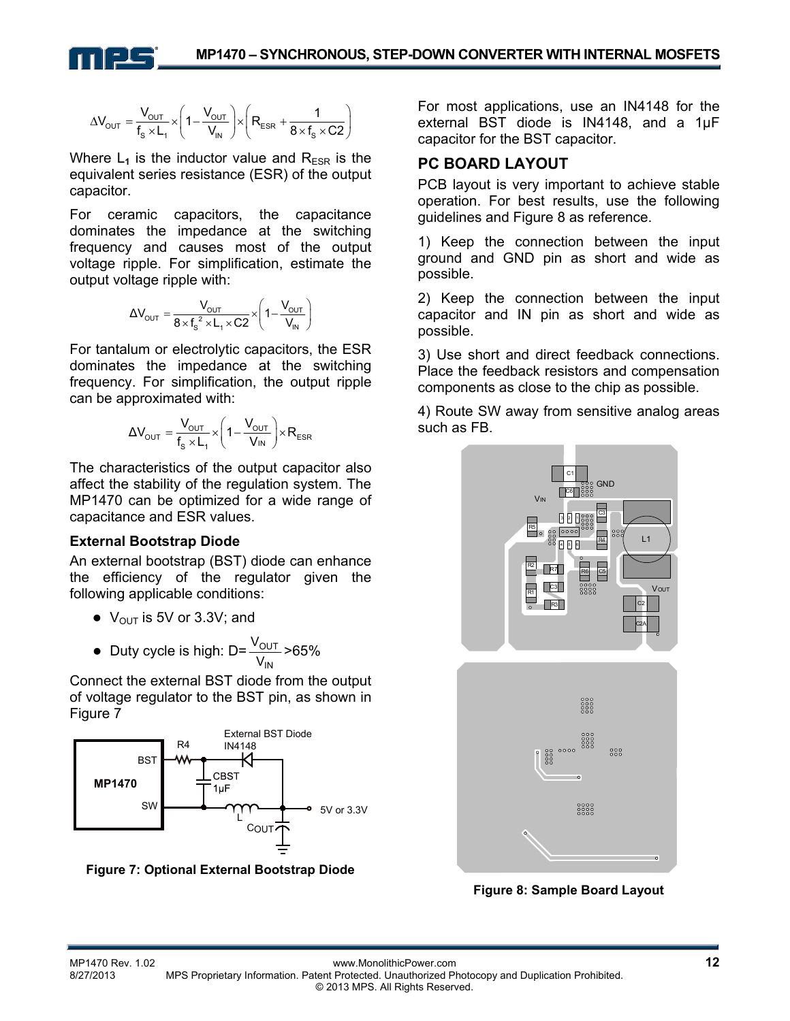

$$
\Delta V_{\text{OUT}}=\frac{V_{\text{OUT}}}{f_s \times L_1} \times \left(1-\frac{V_{\text{OUT}}}{V_{\text{IN}}}\right) \times \left(R_{\text{ESR}}+\frac{1}{8 \times f_s \times C2}\right)
$$

Where  $L_1$  is the inductor value and  $R_{ESR}$  is the equivalent series resistance (ESR) of the output capacitor.

For ceramic capacitors, the capacitance dominates the impedance at the switching frequency and causes most of the output voltage ripple. For simplification, estimate the output voltage ripple with:

$$
\Delta V_{\text{OUT}} = \frac{V_{\text{OUT}}}{8 \times f_s^2 \times L_1 \times C2} \times \left(1 - \frac{V_{\text{OUT}}}{V_{\text{IN}}}\right)
$$

For tantalum or electrolytic capacitors, the ESR dominates the impedance at the switching frequency. For simplification, the output ripple can be approximated with:

$$
\Delta V_{\text{OUT}} = \frac{V_{\text{OUT}}}{f_s \times L_1} \times \left(1 - \frac{V_{\text{OUT}}}{V_{\text{IN}}}\right) \times R_{\text{ESR}}
$$

The characteristics of the output capacitor also affect the stability of the regulation system. The MP1470 can be optimized for a wide range of capacitance and ESR values.

#### **External Bootstrap Diode**

An external bootstrap (BST) diode can enhance the efficiency of the regulator given the following applicable conditions:

- $\bullet\;V_{\text{OUT}}$  is 5V or 3.3V; and
- Duty cycle is high: D= IN OUT V<sub>OUT</sub> >65%<br>V<sub>IN</sub>

Connect the external BST diode from the output of voltage regulator to the BST pin, as shown in Figure 7



**Figure 7: Optional External Bootstrap Diode** 

For most applications, use an IN4148 for the external BST diode is IN4148, and a 1µF capacitor for the BST capacitor.

#### **PC BOARD LAYOUT**

PCB layout is very important to achieve stable operation. For best results, use the following guidelines and Figure 8 as reference.

1) Keep the connection between the input ground and GND pin as short and wide as possible.

2) Keep the connection between the input capacitor and IN pin as short and wide as possible.

3) Use short and direct feedback connections. Place the feedback resistors and compensation components as close to the chip as possible.

4) Route SW away from sensitive analog areas such as FB.



**Figure 8: Sample Board Layout**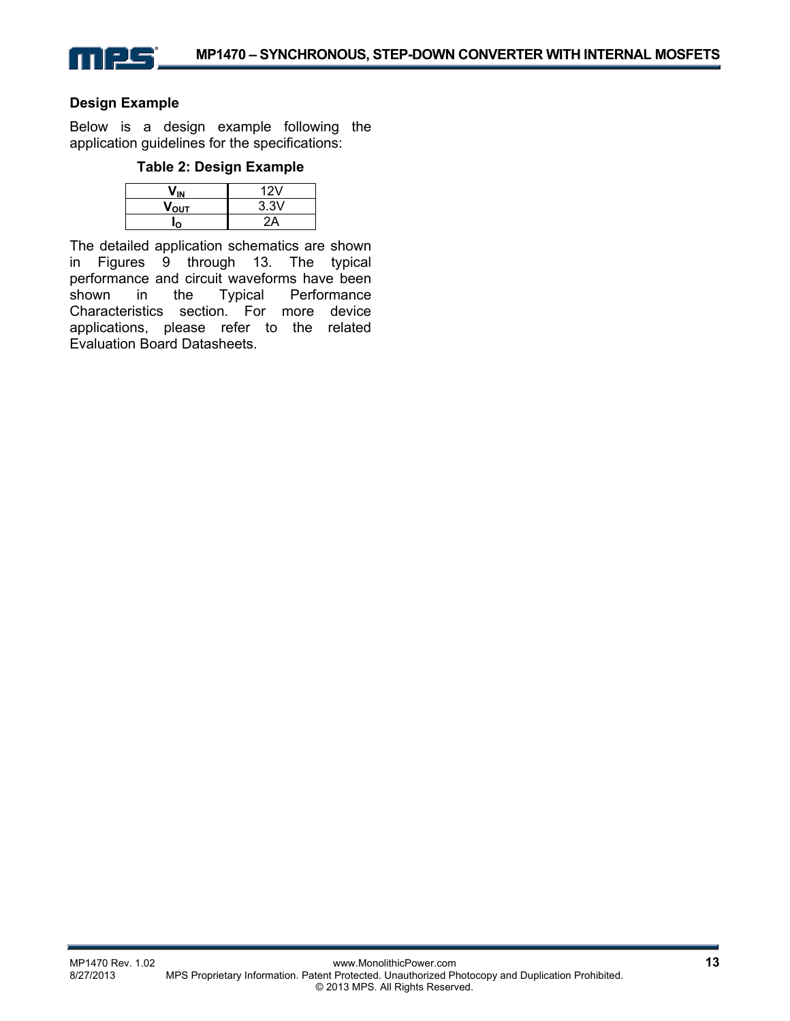

#### **Design Example**

Below is a design example following the application guidelines for the specifications:

#### **Table 2: Design Example**

|                  | 12V  |  |
|------------------|------|--|
| ν <sub>ουτ</sub> | 3.3V |  |
|                  |      |  |

The detailed application schematics are shown in Figures 9 through 13. The typical performance and circuit waveforms have been shown in the Typical Performance Characteristics section. For more device applications, please refer to the related Evaluation Board Datasheets.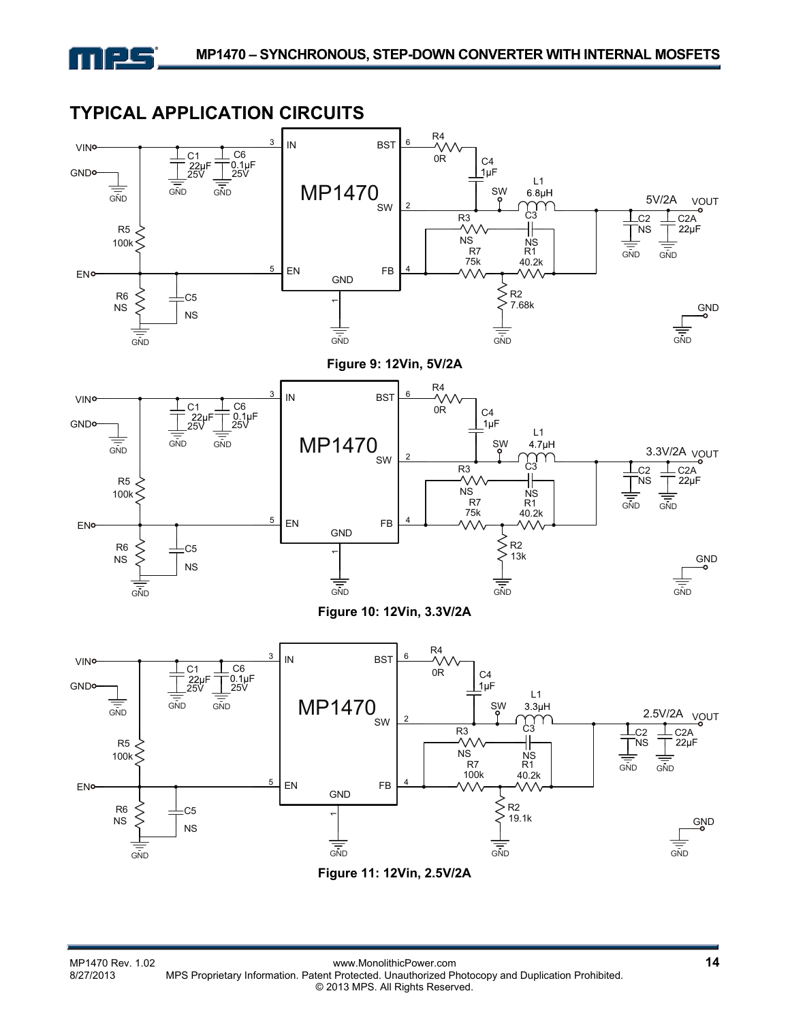

## **TYPICAL APPLICATION CIRCUITS**



**Figure 11: 12Vin, 2.5V/2A**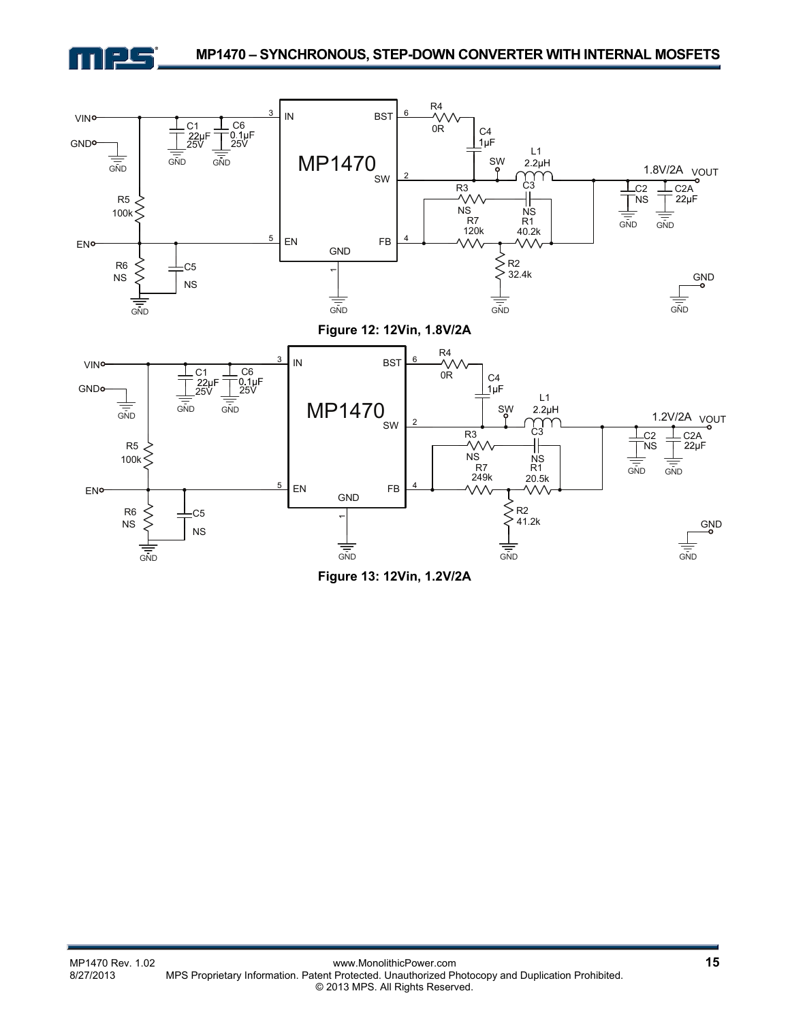



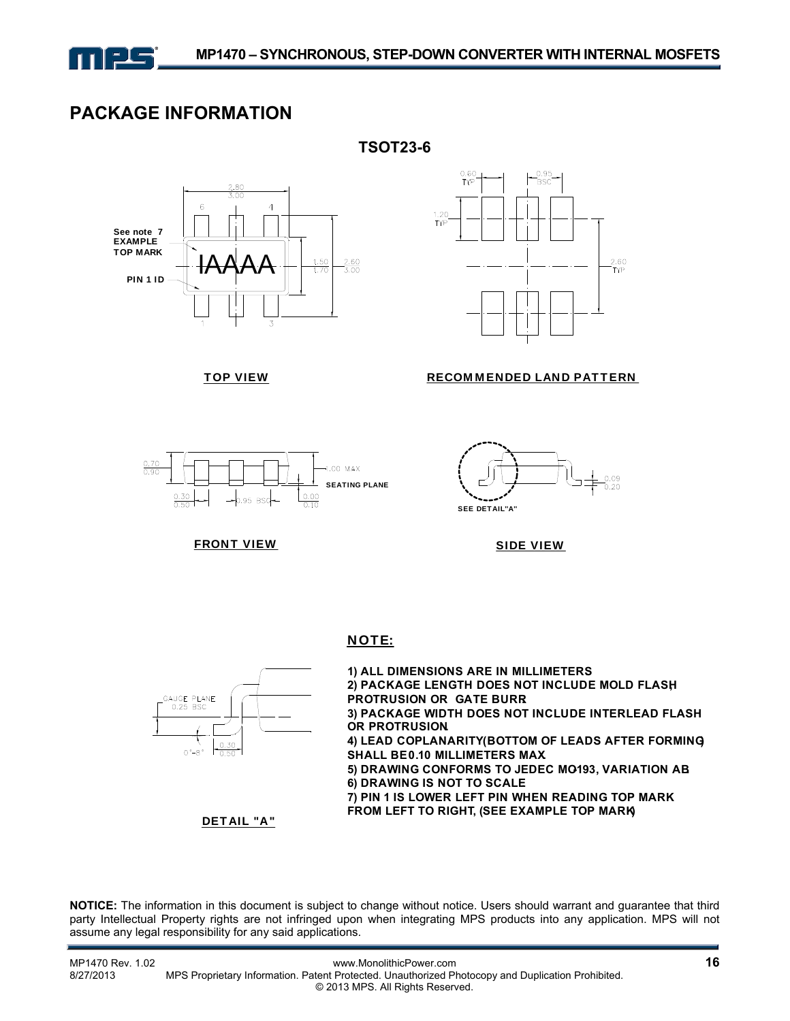

**TSOT23-6** 

## **PACKAGE INFORMATION**





#### TOP VIEW RECOMMENDED LAND PATTERN





FRONT VIEW

SIDE VIEW





DETAIL "A"

 $\frac{0.30}{0.50}$ 

GAUGE PLANE  $0.25$  BSC

 $0 - 8$ °

**NOTICE:** The information in this document is subject to change without notice. Users should warrant and guarantee that third party Intellectual Property rights are not infringed upon when integrating MPS products into any application. MPS will not assume any legal responsibility for any said applications.